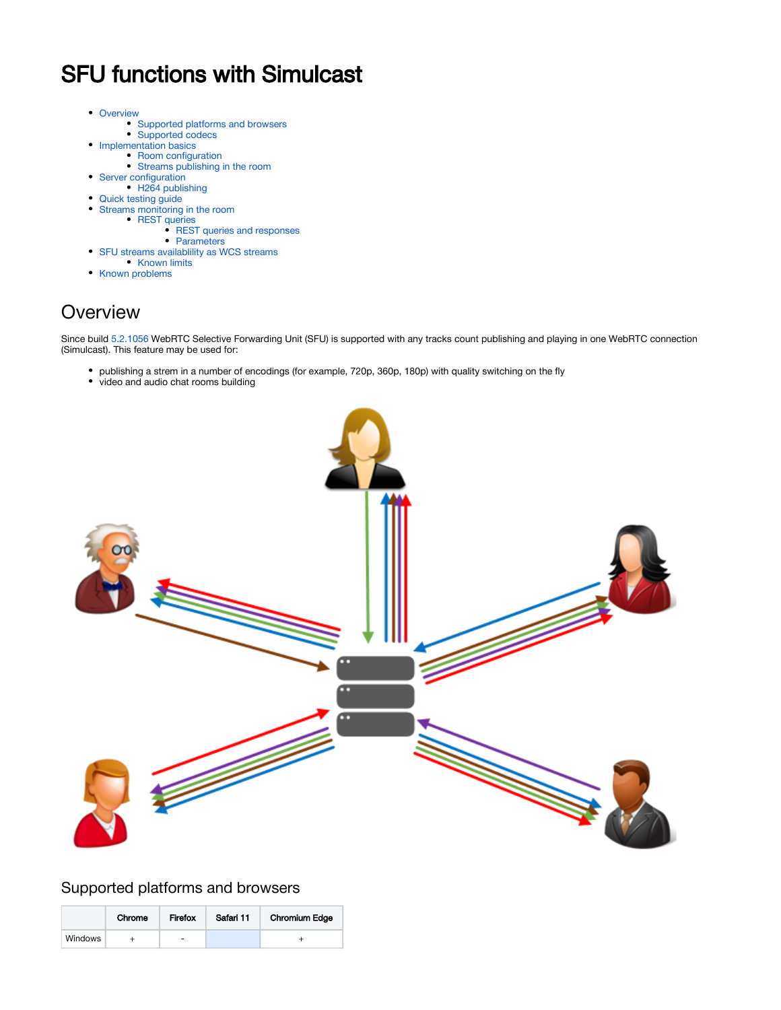# SFU functions with Simulcast

- [Overview](#page-0-0)
	- [Supported platforms and browsers](#page-0-1)
	- [Supported codecs](#page-1-0)
	- [Implementation basics](#page-1-1)
		- [Room configuration](#page-1-2)
	- [Streams publishing in the room](#page-1-3)
- [Server configuration](#page-2-0)
- [H264 publishing](#page-2-1)
- [Quick testing guide](#page-2-2)  $\bullet$
- [Streams monitoring in the room](#page-6-0)
	- [REST queries](#page-6-1)
		- [REST queries and responses](#page-7-0)
	- [Parameters](#page-8-0)
- [SFU streams availablility as WCS streams](#page-9-0) **[Known limits](#page-10-0)**
- [Known problems](#page-10-1)

## <span id="page-0-0"></span>**Overview**

Since build [5.2.1056](https://flashphoner.com/downloads/builds/WCS/5.2/FlashphonerWebCallServer-5.2.1056.tar.gz) WebRTC Selective Forwarding Unit (SFU) is supported with any tracks count publishing and playing in one WebRTC connection (Simulcast). This feature may be used for:

- publishing a strem in a number of encodings (for example, 720p, 360p, 180p) with quality switching on the fly
- video and audio chat rooms building



### <span id="page-0-1"></span>Supported platforms and browsers

|         | Chrome | Firefox | Safari 11 | <b>Chromium Edge</b> |
|---------|--------|---------|-----------|----------------------|
| Windows |        | -       |           |                      |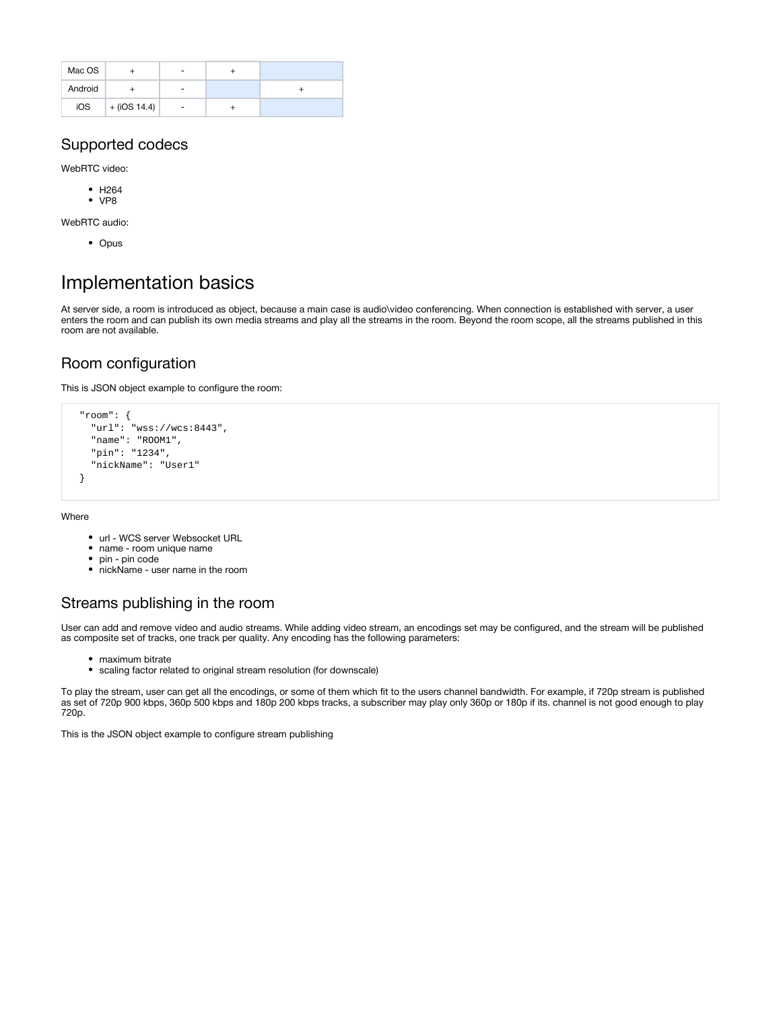| Mac OS  |                    |   |  |
|---------|--------------------|---|--|
| Android |                    |   |  |
| iOS     | $+ ($ iOS 14.4 $)$ | ٠ |  |

### <span id="page-1-0"></span>Supported codecs

WebRTC video:

- $·$  H<sub>264</sub>
- $\bullet$  VP8

WebRTC audio:

• Opus

## <span id="page-1-1"></span>Implementation basics

At server side, a room is introduced as object, because a main case is audio\video conferencing. When connection is established with server, a user enters the room and can publish its own media streams and play all the streams in the room. Beyond the room scope, all the streams published in this room are not available.

### <span id="page-1-2"></span>Room configuration

This is JSON object example to configure the room:

```
 "room": {
   "url": "wss://wcs:8443",
   "name": "ROOM1",
   "pin": "1234",
   "nickName": "User1"
 }
```
Where

- url WCS server Websocket URL
- name room unique name
- pin pin code
- nickName user name in the room

### <span id="page-1-3"></span>Streams publishing in the room

User can add and remove video and audio streams. While adding video stream, an encodings set may be configured, and the stream will be published as composite set of tracks, one track per quality. Any encoding has the following parameters:

- maximum bitrate
- scaling factor related to original stream resolution (for downscale)

To play the stream, user can get all the encodings, or some of them which fit to the users channel bandwidth. For example, if 720p stream is published as set of 720p 900 kbps, 360p 500 kbps and 180p 200 kbps tracks, a subscriber may play only 360p or 180p if its. channel is not good enough to play 720p.

This is the JSON object example to configure stream publishing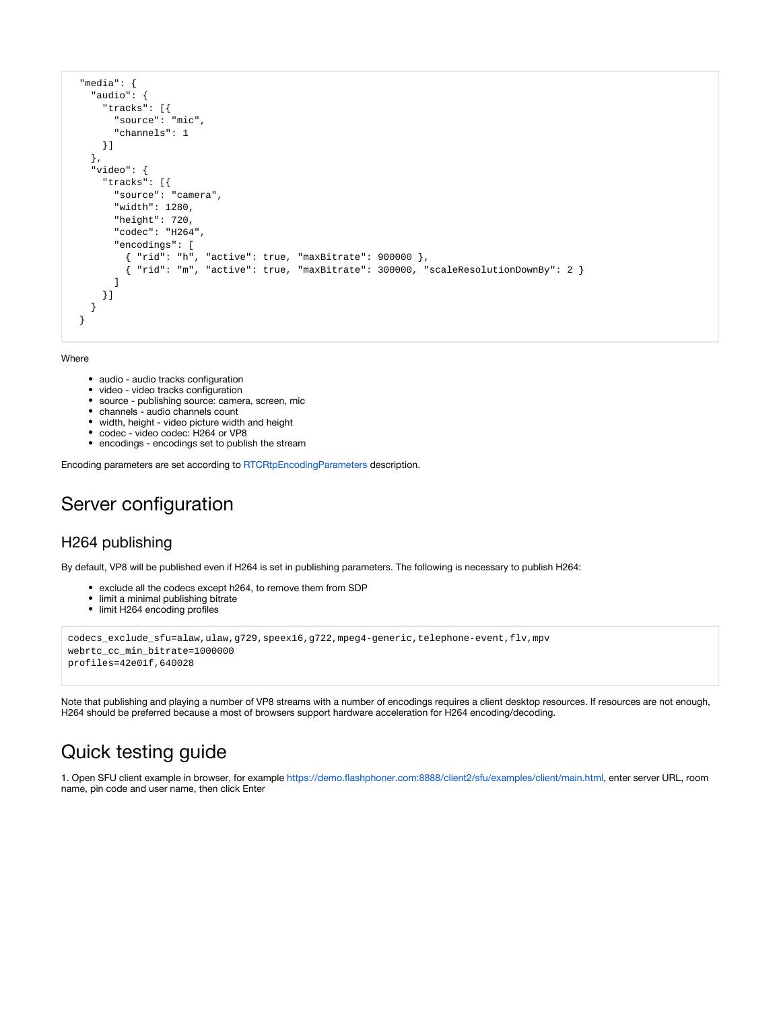```
 "media": {
   "audio": {
     "tracks": [{
       "source": "mic",
       "channels": 1
     }]
   },
   "video": {
     "tracks": [{
       "source": "camera",
       "width": 1280,
       "height": 720,
       "codec": "H264",
       "encodings": [
         { "rid": "h", "active": true, "maxBitrate": 900000 },
         { "rid": "m", "active": true, "maxBitrate": 300000, "scaleResolutionDownBy": 2 }
       ]
     }]
   }
 }
```
#### Where

- audio audio tracks configuration
- $\bullet$ video - video tracks configuration
- source publishing source: camera, screen, mic
- channels audio channels count
- width, height video picture width and height
- codec video codec: H264 or VP8
- encodings encodings set to publish the stream

Encoding parameters are set according to [RTCRtpEncodingParameters](https://developer.mozilla.org/en-US/docs/Web/API/RTCRtpEncodingParameters) description.

## <span id="page-2-0"></span>Server configuration

#### <span id="page-2-1"></span>H264 publishing

By default, VP8 will be published even if H264 is set in publishing parameters. The following is necessary to publish H264:

- exclude all the codecs except h264, to remove them from SDP
- $\bullet$ limit a minimal publishing bitrate
- limit H264 encoding profiles

```
codecs_exclude_sfu=alaw,ulaw,g729,speex16,g722,mpeg4-generic,telephone-event,flv,mpv
webrtc_cc_min_bitrate=1000000
profiles=42e01f,640028
```
Note that publishing and playing a number of VP8 streams with a number of encodings requires a client desktop resources. If resources are not enough, H264 should be preferred because a most of browsers support hardware acceleration for H264 encoding/decoding.

## <span id="page-2-2"></span>Quick testing guide

1. Open SFU client example in browser, for example <https://demo.flashphoner.com:8888/client2/sfu/examples/client/main.html>, enter server URL, room name, pin code and user name, then click Enter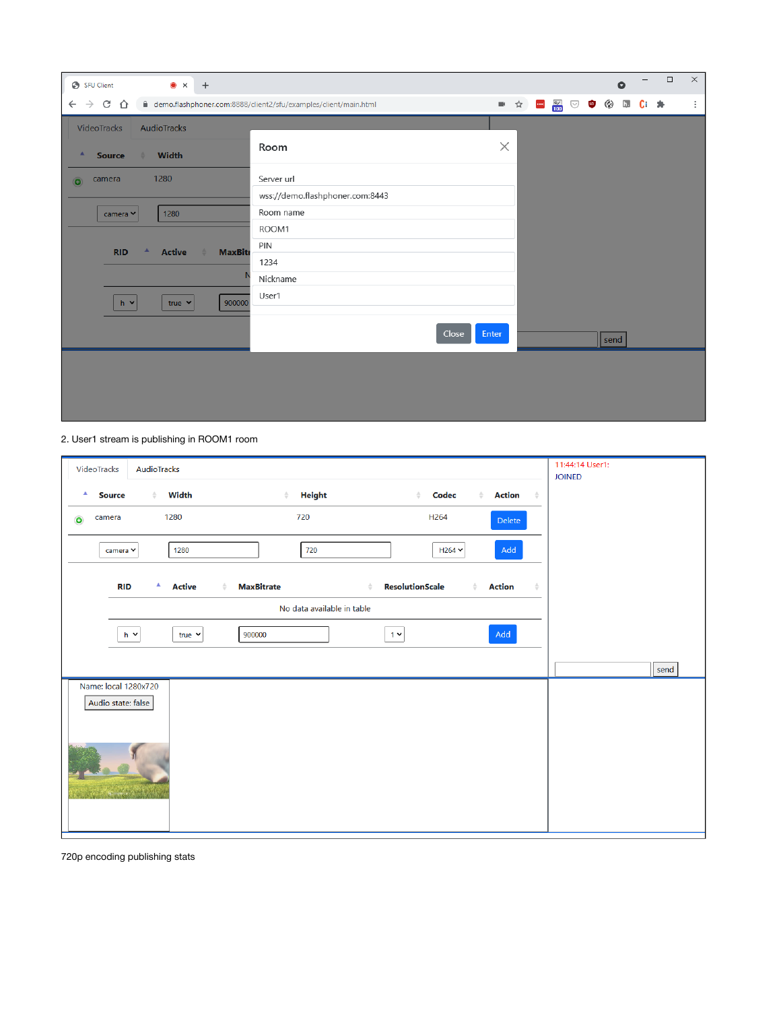| SFU Client<br>$\bullet$ x +                                                                                                                            |                                                                                                                  |          |     |                                              | $\bullet$      |           | $\Box$ | $\times$ |
|--------------------------------------------------------------------------------------------------------------------------------------------------------|------------------------------------------------------------------------------------------------------------------|----------|-----|----------------------------------------------|----------------|-----------|--------|----------|
| $\leftarrow$ $\rightarrow$ C $\leftarrow$                                                                                                              | □ demo.flashphoner.com:8888/client2/sfu/examples/client/main.html                                                |          | ■☆■ | $\frac{10}{100}$ $\heartsuit$ $\blacksquare$ | $\binom{n}{k}$ | h.<br>C÷. | 净      | ÷        |
| VideoTracks<br>AudioTracks                                                                                                                             |                                                                                                                  |          |     |                                              |                |           |        |          |
| Width<br>A<br><b>Source</b><br>$\triangle$                                                                                                             | Room                                                                                                             | $\times$ |     |                                              |                |           |        |          |
| 1280<br>camera<br>$\bullet$<br>1280<br>camera Y<br><b>Active</b><br><b>MaxBitr</b><br><b>RID</b><br>$\triangle$<br>900000<br>$h \times$<br>true $\vee$ | Server url<br>wss://demo.flashphoner.com:8443<br>Room name<br>ROOM1<br>PIN<br>1234<br>Nickname<br>User1<br>Close | Enter    |     |                                              | send           |           |        |          |
|                                                                                                                                                        |                                                                                                                  |          |     |                                              |                |           |        |          |

2. User1 stream is publishing in ROOM1 room

| AudioTracks<br>VideoTracks                      |                                                   |                                                                                                                           | 11:44:14 User1:<br><b>JOINED</b> |
|-------------------------------------------------|---------------------------------------------------|---------------------------------------------------------------------------------------------------------------------------|----------------------------------|
| Width<br>٨<br><b>Source</b><br>$\triangle$      | <b>Height</b><br>≜                                | <b>Action</b><br>Codec<br>$\triangleq$<br>$\triangle$<br>$\stackrel{\scriptscriptstyle\triangle}{\scriptscriptstyle\sim}$ |                                  |
| 1280<br>camera<br>$\bullet$                     | 720                                               | H <sub>264</sub><br>Delete                                                                                                |                                  |
| 1280<br>camera Y                                | 720                                               | Add<br>$H264$ $\sim$                                                                                                      |                                  |
| $\blacktriangle$<br><b>RID</b><br><b>Active</b> | <b>MaxBitrate</b><br>$\triangleq$<br>$\triangleq$ | <b>ResolutionScale</b><br><b>Action</b><br>$\triangleq$<br>$\Rightarrow$                                                  |                                  |
|                                                 | No data available in table                        |                                                                                                                           |                                  |
| $h \sim$<br>true $\sim$                         | 900000                                            | Add<br>$1 -$                                                                                                              |                                  |
|                                                 |                                                   |                                                                                                                           | send                             |
| Name: local 1280x720<br>Audio state: false      |                                                   |                                                                                                                           |                                  |
|                                                 |                                                   |                                                                                                                           |                                  |

720p encoding publishing stats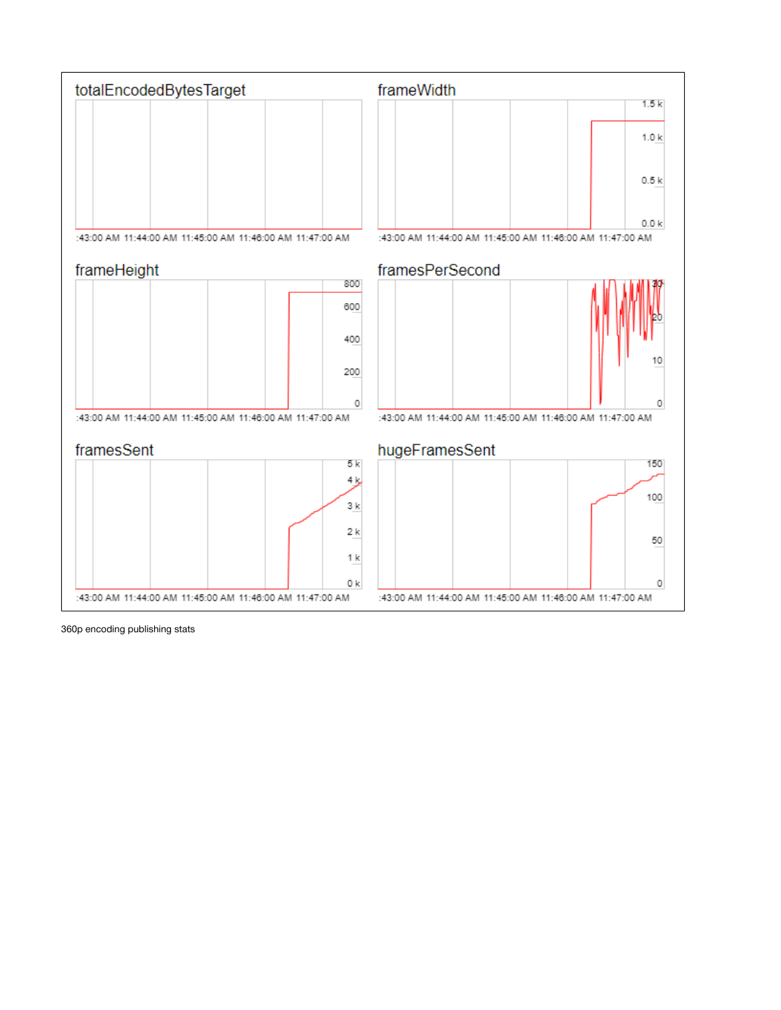

360p encoding publishing stats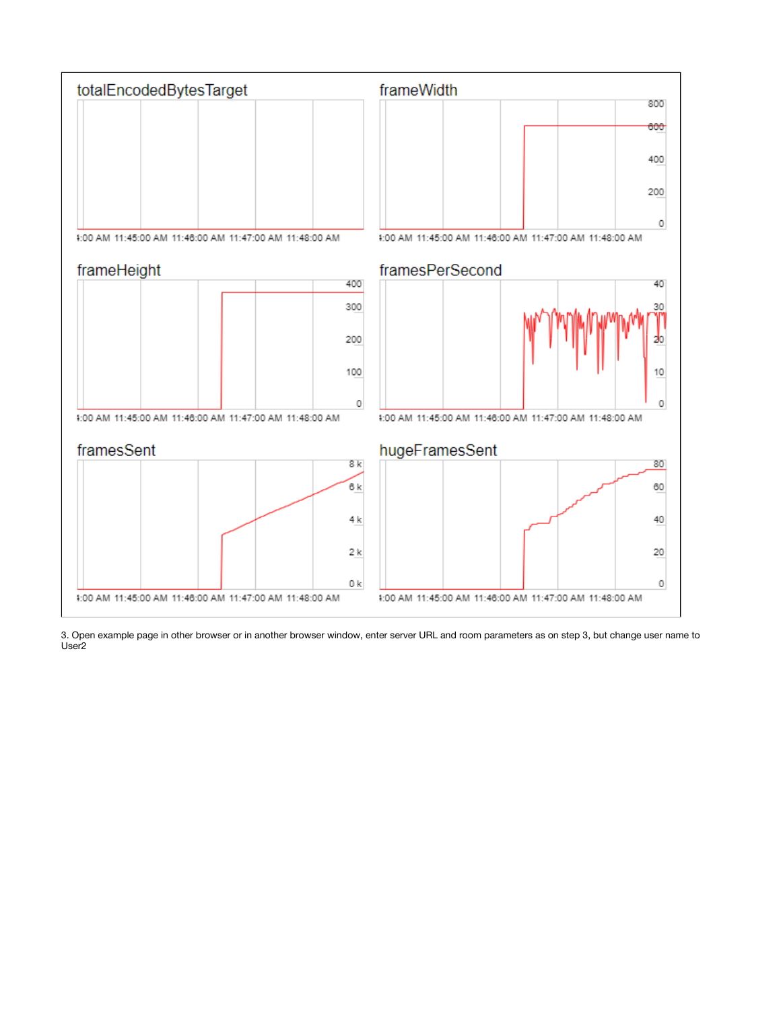

3. Open example page in other browser or in another browser window, enter server URL and room parameters as on step 3, but change user name to User2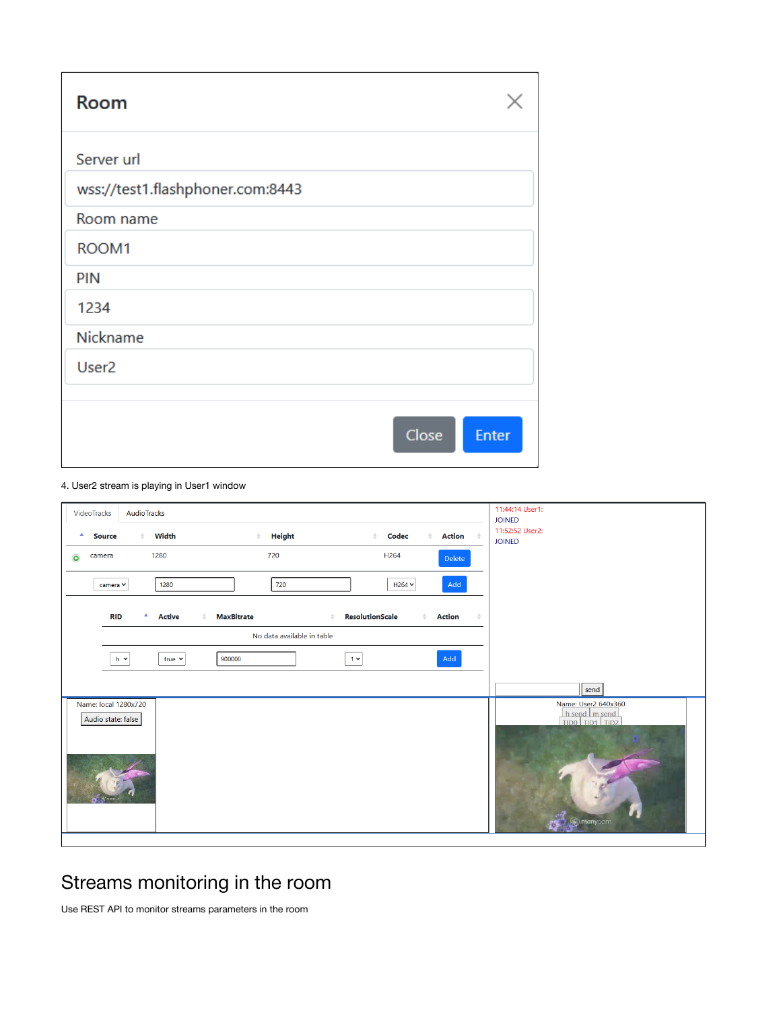| <b>Room</b>                      |                       |
|----------------------------------|-----------------------|
| Server url                       |                       |
| wss://test1.flashphoner.com:8443 |                       |
| Room name                        |                       |
| ROOM1                            |                       |
| PIN                              |                       |
| 1234                             |                       |
| Nickname                         |                       |
| User <sub>2</sub>                |                       |
|                                  |                       |
|                                  | Close<br><b>Enter</b> |

#### 4. User2 stream is playing in User1 window

| AudioTracks<br>VideoTracks                                                                                                                         | 11:44:14 User1:<br><b>JOINED</b>                                           |
|----------------------------------------------------------------------------------------------------------------------------------------------------|----------------------------------------------------------------------------|
| Width<br>Height<br>Codec<br><b>Action</b><br>ᅀ<br>$\Rightarrow$<br><b>Source</b><br>$\triangleq$                                                   | 11:52:52 User2:<br><b>JOINED</b>                                           |
| 1280<br>720<br>H <sub>264</sub><br>camera<br>$\bullet$<br>Delete                                                                                   |                                                                            |
| Add<br>1280<br>720<br>$H264$ $\sim$<br>camera Y                                                                                                    |                                                                            |
| Δ.<br><b>MaxBitrate</b><br><b>ResolutionScale</b><br><b>RID</b><br><b>Active</b><br><b>Action</b><br>$\triangleq$<br>$\triangle$<br>$\hat{=}$<br>÷ |                                                                            |
| No data available in table                                                                                                                         |                                                                            |
| Add<br>$1 -$<br>900000<br>$h \sim$<br>true $\sim$                                                                                                  |                                                                            |
|                                                                                                                                                    | send                                                                       |
| Name: local 1280x720<br>Audio state: false                                                                                                         | Name: User2 640x360<br>$h$ send $h$ send<br>TIDO TID1 TID2<br>manycam<br>ъ |

# <span id="page-6-0"></span>Streams monitoring in the room

<span id="page-6-1"></span>Use REST API to monitor streams parameters in the room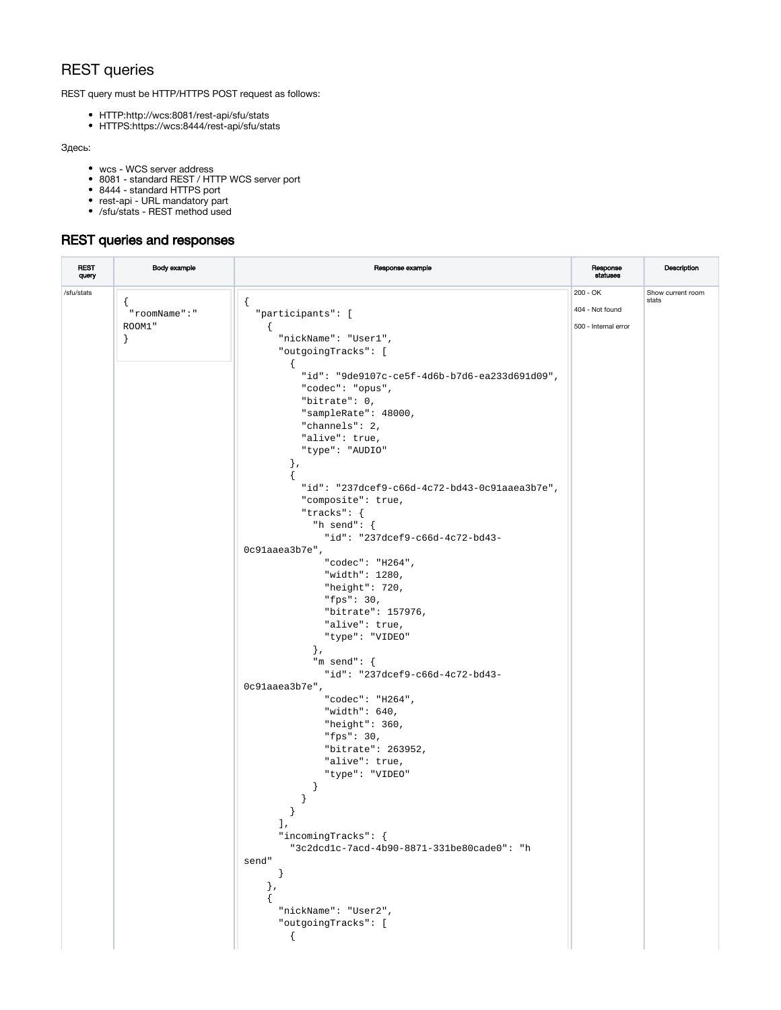### REST queries

REST query must be HTTP/HTTPS POST request as follows:

- HTTP:http://wcs:8081/rest-api/sfu/stats
- HTTPS:https://wcs:8444/rest-api/sfu/stats

#### Здесь:

- wcs WCS server address
- 8081 standard REST / HTTP WCS server port
- 8444 standard HTTPS port
- rest-api URL mandatory part
- /sfu/stats REST method used

### <span id="page-7-0"></span>REST queries and responses

| <b>REST</b><br>query | Body example | Response example                                                  | Response<br><b>statuses</b> | Description                |
|----------------------|--------------|-------------------------------------------------------------------|-----------------------------|----------------------------|
| /sfu/stats           |              |                                                                   | $200 - OK$                  | Show current room<br>stats |
|                      | "roomName":" | "participants": [                                                 | 404 - Not found             |                            |
|                      | ROOM1"       | Τ.                                                                | 500 - Internal error        |                            |
|                      | $\}$         | "nickName": "User1",                                              |                             |                            |
|                      |              | "outgoingTracks": [                                               |                             |                            |
|                      |              | $\left\{ \right.$                                                 |                             |                            |
|                      |              | "id": "9de9107c-ce5f-4d6b-b7d6-ea233d691d09",<br>"codec": "opus", |                             |                            |
|                      |              | "bitrate": 0,                                                     |                             |                            |
|                      |              | "sampleRate": 48000,                                              |                             |                            |
|                      |              | "channels": 2,                                                    |                             |                            |
|                      |              | "alive": true,                                                    |                             |                            |
|                      |              | "type": "AUDIO"                                                   |                             |                            |
|                      |              | $\}$ ,                                                            |                             |                            |
|                      |              | "id": "237dcef9-c66d-4c72-bd43-0c91aaea3b7e",                     |                             |                            |
|                      |              | "composite": true,                                                |                             |                            |
|                      |              | "tracks": $\{$                                                    |                             |                            |
|                      |              | "h send": {                                                       |                             |                            |
|                      |              | "id": "237dcef9-c66d-4c72-bd43-                                   |                             |                            |
|                      |              | 0c91aaea3b7e",                                                    |                             |                            |
|                      |              | "codec": "H264",<br>"width": 1280,                                |                             |                            |
|                      |              | "height": $720$ ,                                                 |                             |                            |
|                      |              | "fps": $30$ ,                                                     |                             |                            |
|                      |              | "bitrate": 157976,                                                |                             |                            |
|                      |              | "alive": true,                                                    |                             |                            |
|                      |              | "type": "VIDEO"                                                   |                             |                            |
|                      |              | $\}$ ,                                                            |                             |                            |
|                      |              | "m send": $\{$                                                    |                             |                            |
|                      |              | "id": "237dcef9-c66d-4c72-bd43-                                   |                             |                            |
|                      |              | 0c9laaea3b7e",<br>"codec": "H264",                                |                             |                            |
|                      |              | "width": $640,$                                                   |                             |                            |
|                      |              | "height": $360,$                                                  |                             |                            |
|                      |              | "fps": $30,$                                                      |                             |                            |
|                      |              | "bitrate": 263952,                                                |                             |                            |
|                      |              | "alive": true,                                                    |                             |                            |
|                      |              | "type": "VIDEO"                                                   |                             |                            |
|                      |              | $\mathcal{F}$                                                     |                             |                            |
|                      |              |                                                                   |                             |                            |
|                      |              | Ι,                                                                |                             |                            |
|                      |              | "incomingTracks": {                                               |                             |                            |
|                      |              | "3c2dcdlc-7acd-4b90-8871-331be80cade0": "h                        |                             |                            |
|                      |              | send"                                                             |                             |                            |
|                      |              | $\}$                                                              |                             |                            |
|                      |              | $\}$ ,                                                            |                             |                            |
|                      |              |                                                                   |                             |                            |
|                      |              | "nickName": "User2",<br>"outgoingTracks": [                       |                             |                            |
|                      |              | $\mathcal{L}$                                                     |                             |                            |
|                      |              |                                                                   |                             |                            |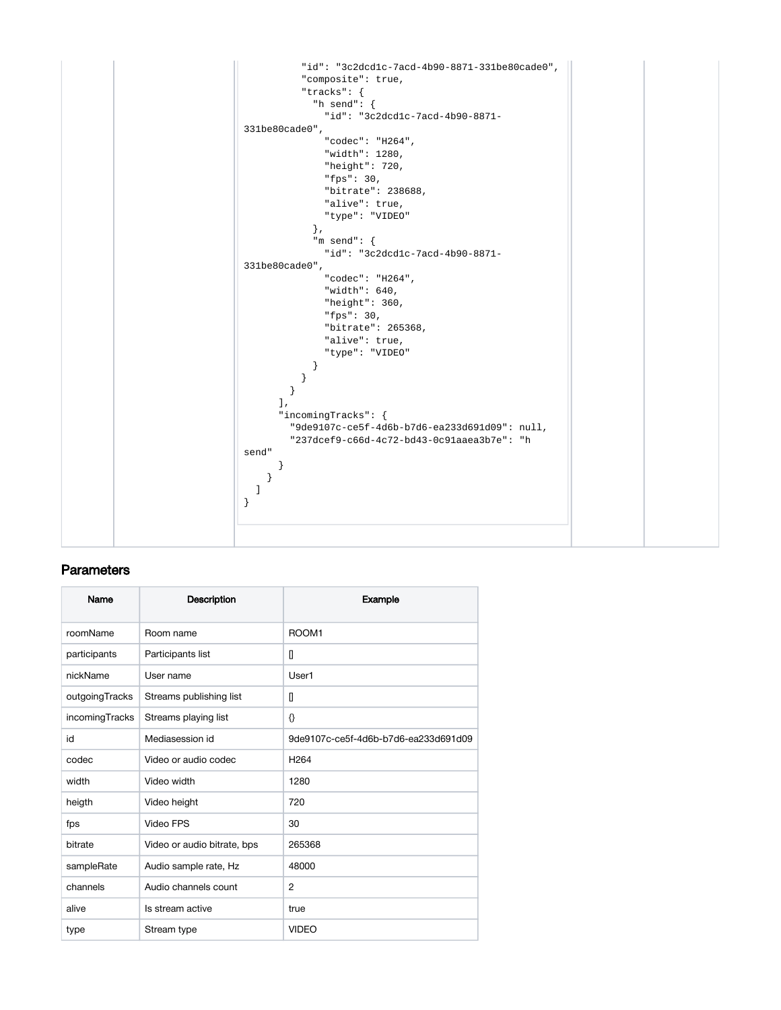

#### <span id="page-8-0"></span>**Parameters**

| Name           | Description                 | Example                              |
|----------------|-----------------------------|--------------------------------------|
| roomName       | Room name                   | ROOM1                                |
| participants   | Participants list           | П                                    |
| nickName       | User name                   | User1                                |
| outgoingTracks | Streams publishing list     | П                                    |
| incomingTracks | Streams playing list        | €                                    |
| id             | Mediasession id             | 9de9107c-ce5f-4d6b-b7d6-ea233d691d09 |
| codec          | Video or audio codec        | H <sub>264</sub>                     |
| width          | Video width                 | 1280                                 |
| heigth         | Video height                | 720                                  |
| fps            | Video FPS                   | 30                                   |
| bitrate        | Video or audio bitrate, bps | 265368                               |
| sampleRate     | Audio sample rate, Hz       | 48000                                |
| channels       | Audio channels count        | $\overline{2}$                       |
| alive          | Is stream active            | true                                 |
| type           | Stream type                 | <b>VIDEO</b>                         |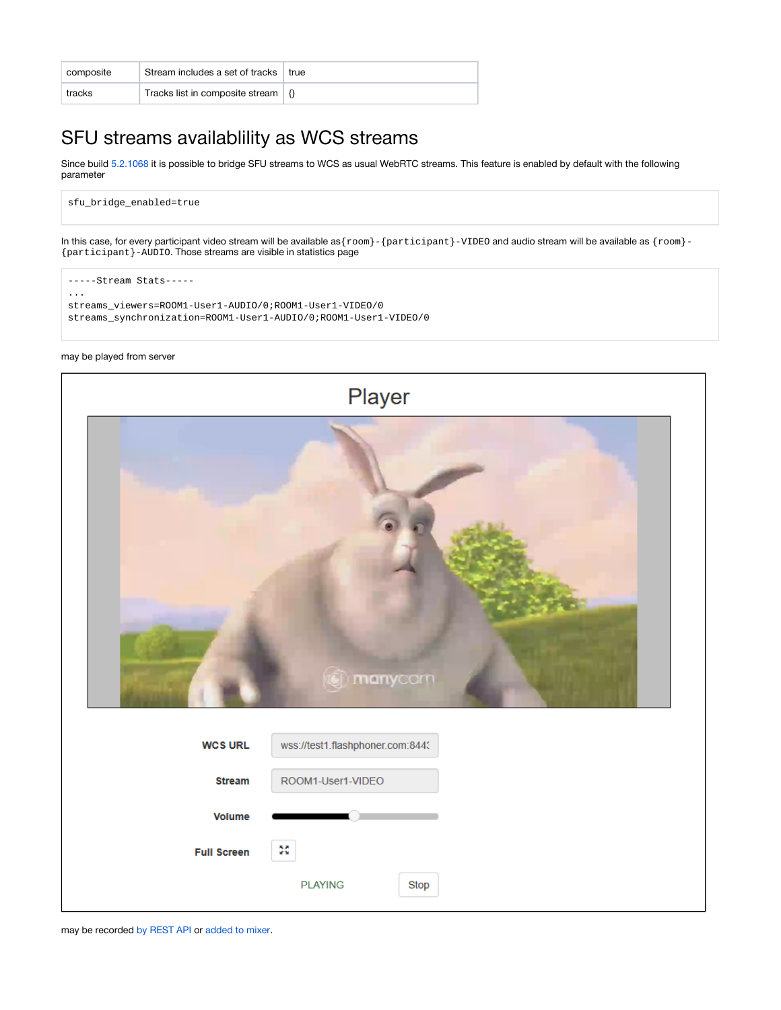| composite | Stream includes a set of tracks                         | ∣ true |
|-----------|---------------------------------------------------------|--------|
| tracks    | Tracks list in composite stream $\vert \varphi \rangle$ |        |

## <span id="page-9-0"></span>SFU streams availablility as WCS streams

Since build [5.2.1068](https://flashphoner.com/downloads/builds/WCS/5.2/FlashphonerWebCallServer-5.2.1068.tar.gz) it is possible to bridge SFU streams to WCS as usual WebRTC streams. This feature is enabled by default with the following parameter

sfu\_bridge\_enabled=true

In this case, for every participant video stream will be available as{room}-{participant}-VIDEO and audio stream will be available as {room}- {participant}-AUDIO. Those streams are visible in statistics page

-----Stream Stats----- ... streams\_viewers=ROOM1-User1-AUDIO/0;ROOM1-User1-VIDEO/0 streams\_synchronization=ROOM1-User1-AUDIO/0;ROOM1-User1-VIDEO/0

#### may be played from server



may be recorded [by REST API](https://docs.flashphoner.com/display/WCS52EN/Stream+recording#Streamrecording-Streamrecordingondemand) or [added to mixer.](https://docs.flashphoner.com/display/WCS52EN/Stream+mixer#Streammixer-RESTqueries)